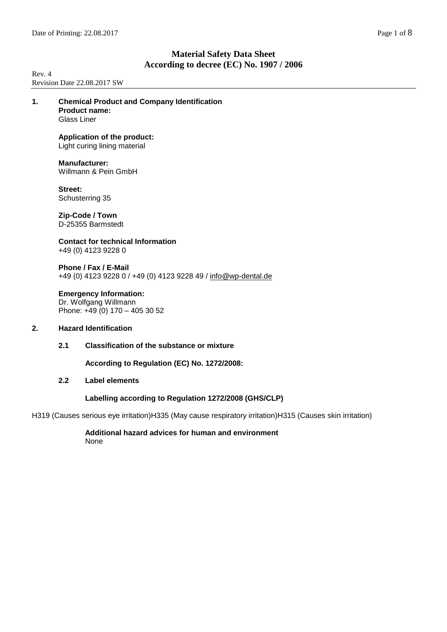Rev. 4 Revision Date 22.08.2017 SW

**1. Chemical Product and Company Identification Product name:** Glass Liner

# **Application of the product:**

Light curing lining material

**Manufacturer:** Willmann & Pein GmbH

**Street:** Schusterring 35

**Zip-Code / Town** D-25355 Barmstedt

**Contact for technical Information** +49 (0) 4123 9228 0

**Phone / Fax / E-Mail** +49 (0) 4123 9228 0 / +49 (0) 4123 9228 49 / [info@wp-dental.de](mailto:info@wp-dental.de)

# **Emergency Information:**

Dr. Wolfgang Willmann Phone: +49 (0) 170 - 405 30 52

# **2. Hazard Identification**

**2.1 Classification of the substance or mixture**

**According to Regulation (EC) No. 1272/2008:**

# **2.2 Label elements**

# **Labelling according to Regulation 1272/2008 (GHS/CLP)**

H319 (Causes serious eye irritation)H335 (May cause respiratory irritation)H315 (Causes skin irritation)

**Additional hazard advices for human and environment** None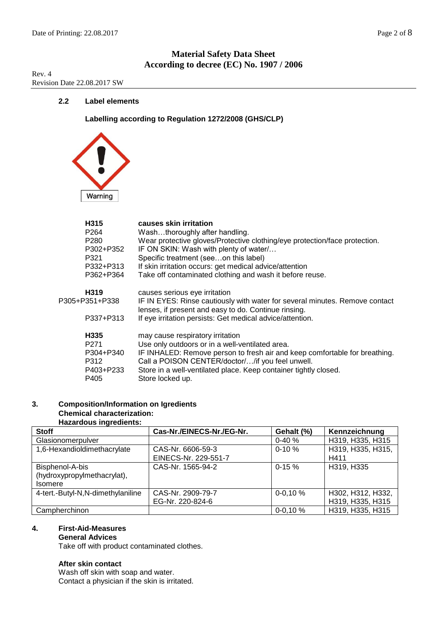Rev. 4 Revision Date 22.08.2017 SW

# **2.2 Label elements**

**Labelling according to Regulation 1272/2008 (GHS/CLP)**



|                | H315<br>P <sub>264</sub><br>P <sub>280</sub><br>P302+P352<br>P321<br>P332+P313<br>P362+P364 | causes skin irritation<br>Washthoroughly after handling.<br>Wear protective gloves/Protective clothing/eye protection/face protection.<br>IF ON SKIN: Wash with plenty of water/<br>Specific treatment (seeon this label)<br>If skin irritation occurs: get medical advice/attention<br>Take off contaminated clothing and wash it before reuse. |
|----------------|---------------------------------------------------------------------------------------------|--------------------------------------------------------------------------------------------------------------------------------------------------------------------------------------------------------------------------------------------------------------------------------------------------------------------------------------------------|
| P305+P351+P338 | H319<br>P337+P313                                                                           | causes serious eye irritation<br>IF IN EYES: Rinse cautiously with water for several minutes. Remove contact<br>lenses, if present and easy to do. Continue rinsing.<br>If eye irritation persists: Get medical advice/attention.                                                                                                                |
|                | H335<br>P <sub>271</sub><br>P304+P340<br>P312<br>P403+P233<br>P405                          | may cause respiratory irritation<br>Use only outdoors or in a well-ventilated area.<br>IF INHALED: Remove person to fresh air and keep comfortable for breathing.<br>Call a POISON CENTER/doctor//if you feel unwell.<br>Store in a well-ventilated place. Keep container tightly closed.<br>Store locked up.                                    |

# **3. Composition/Information on Igredients Chemical characterization:**

### **Hazardous ingredients:**

| <b>Stoff</b>                      | Cas-Nr./EINECS-Nr./EG-Nr. | Gehalt (%)  | Kennzeichnung     |
|-----------------------------------|---------------------------|-------------|-------------------|
| Glasionomerpulver                 |                           | $0 - 40%$   | H319, H335, H315  |
| 1,6-Hexandioldimethacrylate       | CAS-Nr. 6606-59-3         | $0-10 \%$   | H319, H335, H315, |
|                                   | EINECS-Nr. 229-551-7      |             | H411              |
| Bisphenol-A-bis                   | CAS-Nr. 1565-94-2         | $0-15%$     | H319, H335        |
| (hydroxypropylmethacrylat),       |                           |             |                   |
| <b>Isomere</b>                    |                           |             |                   |
| 4-tert.-Butyl-N,N-dimethylaniline | CAS-Nr. 2909-79-7         | $0 - 0.10%$ | H302, H312, H332, |
|                                   | EG-Nr. 220-824-6          |             | H319, H335, H315  |
| Campherchinon                     |                           | $0 - 0.10%$ | H319, H335, H315  |

### **4. First-Aid-Measures**

# **General Advices**

Take off with product contaminated clothes.

## **After skin contact**

Wash off skin with soap and water. Contact a physician if the skin is irritated.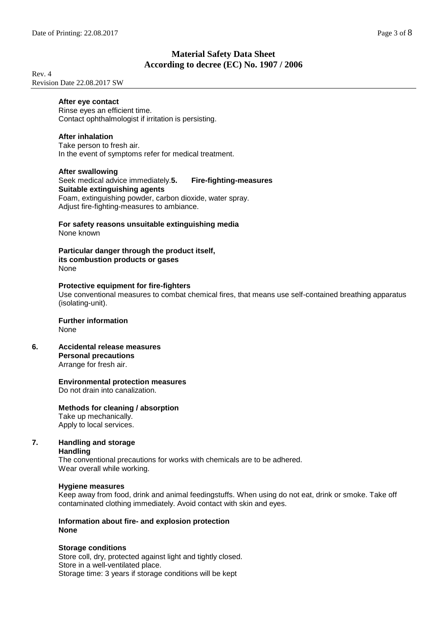Rev. 4 Revision Date 22.08.2017 SW

## **After eye contact**

Rinse eyes an efficient time. Contact ophthalmologist if irritation is persisting.

## **After inhalation**

Take person to fresh air. In the event of symptoms refer for medical treatment.

### **After swallowing**

# Seek medical advice immediately.**5. Fire-fighting-measures Suitable extinguishing agents**

Foam, extinguishing powder, carbon dioxide, water spray. Adjust fire-fighting-measures to ambiance.

#### **For safety reasons unsuitable extinguishing media** None known

**Particular danger through the product itself, its combustion products or gases** None

# **Protective equipment for fire-fighters**

Use conventional measures to combat chemical fires, that means use self-contained breathing apparatus (isolating-unit).

#### **Further information** None

- 
- **6. Accidental release measures Personal precautions** Arrange for fresh air.

# **Environmental protection measures**

Do not drain into canalization.

# **Methods for cleaning / absorption**

Take up mechanically. Apply to local services.

# **7. Handling and storage**

**Handling**

The conventional precautions for works with chemicals are to be adhered. Wear overall while working.

# **Hygiene measures**

Keep away from food, drink and animal feedingstuffs. When using do not eat, drink or smoke. Take off contaminated clothing immediately. Avoid contact with skin and eyes.

### **Information about fire- and explosion protection None**

# **Storage conditions**

Store coll, dry, protected against light and tightly closed. Store in a well-ventilated place. Storage time: 3 years if storage conditions will be kept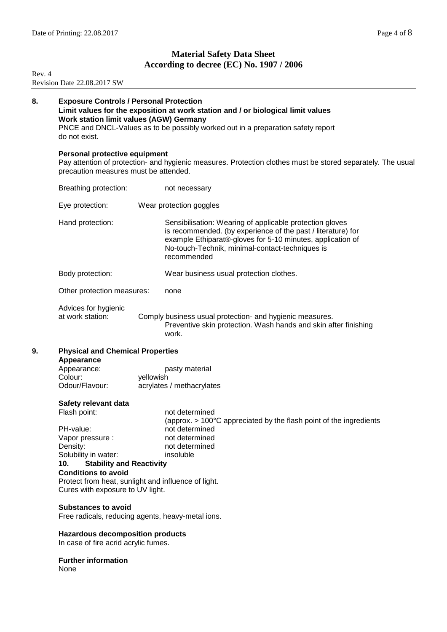Rev. 4

# **Material Safety Data Sheet According to decree (EC) No. 1907 / 2006**

|    | Revision Date 22.08.2017 SW                                                                                                                                                                                                                                                        |                                                                                                                                                                                                                                                          |  |  |  |
|----|------------------------------------------------------------------------------------------------------------------------------------------------------------------------------------------------------------------------------------------------------------------------------------|----------------------------------------------------------------------------------------------------------------------------------------------------------------------------------------------------------------------------------------------------------|--|--|--|
| 8. | <b>Exposure Controls / Personal Protection</b><br>Limit values for the exposition at work station and / or biological limit values<br>Work station limit values (AGW) Germany<br>PNCE and DNCL-Values as to be possibly worked out in a preparation safety report<br>do not exist. |                                                                                                                                                                                                                                                          |  |  |  |
|    | Personal protective equipment<br>precaution measures must be attended.                                                                                                                                                                                                             | Pay attention of protection- and hygienic measures. Protection clothes must be stored separately. The usual                                                                                                                                              |  |  |  |
|    | Breathing protection:                                                                                                                                                                                                                                                              | not necessary                                                                                                                                                                                                                                            |  |  |  |
|    | Eye protection:                                                                                                                                                                                                                                                                    | Wear protection goggles                                                                                                                                                                                                                                  |  |  |  |
|    | Hand protection:                                                                                                                                                                                                                                                                   | Sensibilisation: Wearing of applicable protection gloves<br>is recommended. (by experience of the past / literature) for<br>example Ethiparat®-gloves for 5-10 minutes, application of<br>No-touch-Technik, minimal-contact-techniques is<br>recommended |  |  |  |
|    | Body protection:                                                                                                                                                                                                                                                                   | Wear business usual protection clothes.                                                                                                                                                                                                                  |  |  |  |
|    | Other protection measures:                                                                                                                                                                                                                                                         | none                                                                                                                                                                                                                                                     |  |  |  |
|    | Advices for hygienic<br>at work station:                                                                                                                                                                                                                                           | Comply business usual protection- and hygienic measures.<br>Preventive skin protection. Wash hands and skin after finishing<br>work.                                                                                                                     |  |  |  |
| 9. |                                                                                                                                                                                                                                                                                    | <b>Physical and Chemical Properties</b>                                                                                                                                                                                                                  |  |  |  |
|    | Appearance<br>Appearance:<br>Colour:<br>Odour/Flavour:                                                                                                                                                                                                                             | pasty material<br>yellowish<br>acrylates / methacrylates                                                                                                                                                                                                 |  |  |  |
|    | Safety relevant data                                                                                                                                                                                                                                                               |                                                                                                                                                                                                                                                          |  |  |  |
|    | Flash point:<br>PH-value:<br>Vapor pressure :<br>Density:<br>Solubility in water:<br>10.<br><b>Stability and Reactivity</b>                                                                                                                                                        | not determined<br>(approx. $> 100^{\circ}$ C appreciated by the flash point of the ingredients<br>not determined<br>not determined<br>not determined<br>insoluble                                                                                        |  |  |  |
|    | <b>Conditions to avoid</b>                                                                                                                                                                                                                                                         | Protect from heat, sunlight and influence of light.<br>Cures with exposure to UV light.                                                                                                                                                                  |  |  |  |
|    |                                                                                                                                                                                                                                                                                    | <b>Substances to avoid</b><br>Free radicals, reducing agents, heavy-metal ions.                                                                                                                                                                          |  |  |  |
|    | <b>Hazardous decomposition products</b><br>In case of fire acrid acrylic fumes.                                                                                                                                                                                                    |                                                                                                                                                                                                                                                          |  |  |  |
|    | <b>Further information</b><br>None                                                                                                                                                                                                                                                 |                                                                                                                                                                                                                                                          |  |  |  |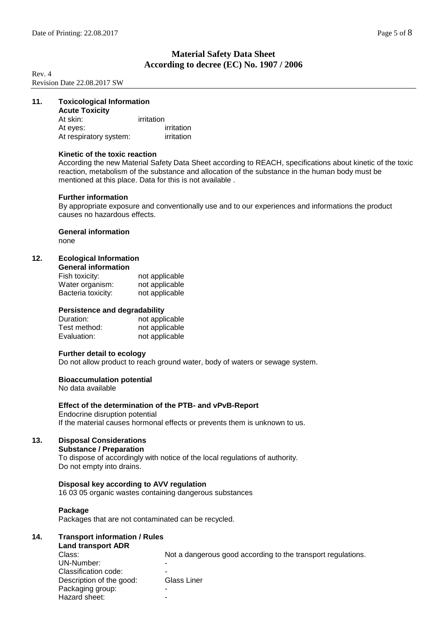Rev. 4 Revision Date 22.08.2017 SW

# **11. Toxicological Information**

| <b>Acute Toxicity</b>  |            |
|------------------------|------------|
| At skin:               | irritation |
| At eves:               | irritation |
| At respiratory system: | irritation |

### **Kinetic of the toxic reaction**

According the new Material Safety Data Sheet according to REACH, specifications about kinetic of the toxic reaction, metabolism of the substance and allocation of the substance in the human body must be mentioned at this place. Data for this is not available .

### **Further information**

By appropriate exposure and conventionally use and to our experiences and informations the product causes no hazardous effects.

### **General information**

none

## **12. Ecological Information**

| Fish toxicity:     | not applicable |
|--------------------|----------------|
| Water organism:    | not applicable |
| Bacteria toxicity: | not applicable |

### **Persistence and degradability**

| Duration:    | not applicable |
|--------------|----------------|
| Test method: | not applicable |
| Evaluation:  | not applicable |

### **Further detail to ecology**

Do not allow product to reach ground water, body of waters or sewage system.

### **Bioaccumulation potential**

No data available

### **Effect of the determination of the PTB- and vPvB-Report**

Endocrine disruption potential If the material causes hormonal effects or prevents them is unknown to us.

# **13. Disposal Considerations**

### **Substance / Preparation**

To dispose of accordingly with notice of the local regulations of authority. Do not empty into drains.

### **Disposal key according to AVV regulation**

16 03 05 organic wastes containing dangerous substances

### **Package**

Packages that are not contaminated can be recycled.

# **14. Transport information / Rules**

| <b>Land transport ADR</b> |  |
|---------------------------|--|
|---------------------------|--|

| Class:                   | Not a dangerous good according to the transport regulations. |
|--------------------------|--------------------------------------------------------------|
| UN-Number:               |                                                              |
| Classification code:     |                                                              |
| Description of the good: | Glass Liner                                                  |
| Packaging group:         | -                                                            |
| Hazard sheet:            | -                                                            |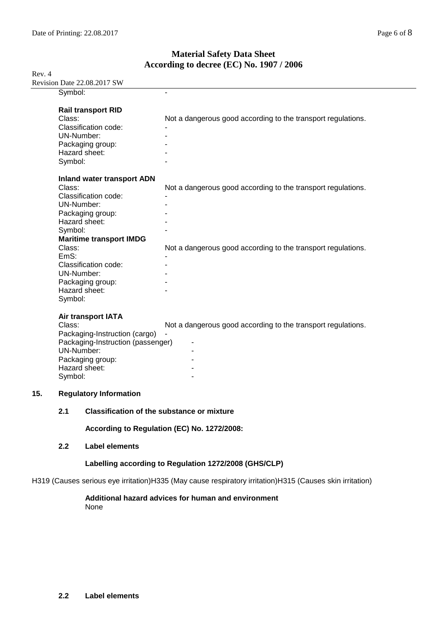Rev. 4 Revision Date 22.08.2017 SW

|     |                                                                                                              | $R_{\rm V}$ is foll Date 22.00.2017 S $W$                                                                                                                   |                                                                                                                              |
|-----|--------------------------------------------------------------------------------------------------------------|-------------------------------------------------------------------------------------------------------------------------------------------------------------|------------------------------------------------------------------------------------------------------------------------------|
|     | Symbol:                                                                                                      |                                                                                                                                                             |                                                                                                                              |
|     | Class:<br>UN-Number:<br>Hazard sheet:<br>Symbol:                                                             | <b>Rail transport RID</b><br>Classification code:<br>Packaging group:                                                                                       | Not a dangerous good according to the transport regulations.                                                                 |
|     | Class:<br>UN-Number:<br>Hazard sheet:<br>Symbol:<br>Class:<br>EmS:<br>UN-Number:<br>Hazard sheet:<br>Symbol: | <b>Inland water transport ADN</b><br>Classification code:<br>Packaging group:<br><b>Maritime transport IMDG</b><br>Classification code:<br>Packaging group: | Not a dangerous good according to the transport regulations.<br>Not a dangerous good according to the transport regulations. |
| 15. | Class:<br>UN-Number:<br>Hazard sheet:<br>Symbol:                                                             | Air transport IATA<br>Packaging-Instruction (cargo)<br>Packaging-Instruction (passenger)<br>Packaging group:<br><b>Regulatory Information</b>               | Not a dangerous good according to the transport regulations.                                                                 |
|     | 2.1                                                                                                          | <b>Classification of the substance or mixture</b>                                                                                                           |                                                                                                                              |
|     |                                                                                                              |                                                                                                                                                             |                                                                                                                              |
|     |                                                                                                              |                                                                                                                                                             | According to Regulation (EC) No. 1272/2008:                                                                                  |

**2.2 Label elements**

# **Labelling according to Regulation 1272/2008 (GHS/CLP)**

H319 (Causes serious eye irritation)H335 (May cause respiratory irritation)H315 (Causes skin irritation)

## **Additional hazard advices for human and environment** None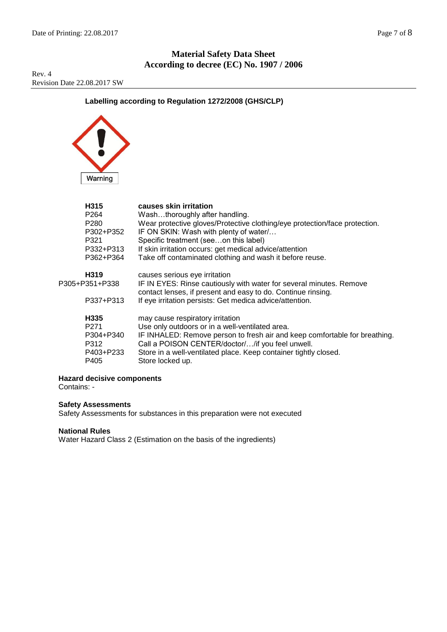Rev. 4 Revision Date 22.08.2017 SW

# **Labelling according to Regulation 1272/2008 (GHS/CLP)**



| H315<br>P264<br>P280<br>P302+P352<br>P321<br>P332+P313<br>P362+P364            | causes skin irritation<br>Washthoroughly after handling.<br>Wear protective gloves/Protective clothing/eye protection/face protection.<br>IF ON SKIN: Wash with plenty of water/<br>Specific treatment (seeon this label)<br>If skin irritation occurs: get medical advice/attention<br>Take off contaminated clothing and wash it before reuse. |
|--------------------------------------------------------------------------------|--------------------------------------------------------------------------------------------------------------------------------------------------------------------------------------------------------------------------------------------------------------------------------------------------------------------------------------------------|
| H319<br>P305+P351+P338<br>P337+P313                                            | causes serious eye irritation<br>IF IN EYES: Rinse cautiously with water for several minutes. Remove<br>contact lenses, if present and easy to do. Continue rinsing.<br>If eye irritation persists: Get medica advice/attention.                                                                                                                 |
| H <sub>335</sub><br>P <sub>271</sub><br>P304+P340<br>P312<br>P403+P233<br>P405 | may cause respiratory irritation<br>Use only outdoors or in a well-ventilated area.<br>IF INHALED: Remove person to fresh air and keep comfortable for breathing.<br>Call a POISON CENTER/doctor//if you feel unwell.<br>Store in a well-ventilated place. Keep container tightly closed.<br>Store locked up.                                    |

**Hazard decisive components** 

Contains: -

# **Safety Assessments**

Safety Assessments for substances in this preparation were not executed

### **National Rules**

Water Hazard Class 2 (Estimation on the basis of the ingredients)